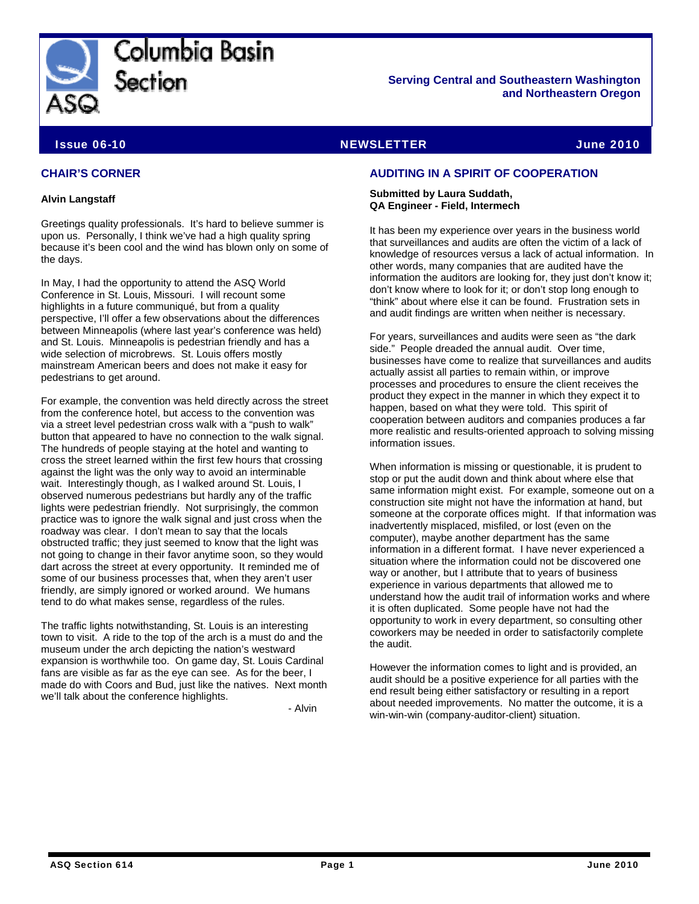

Columbia Basin Section

**Serving Central and Southeastern Washington and Northeastern Oregon** 

# Issue 06-10 NEWSLETTER June 2010

# **CHAIR'S CORNER**

#### **Alvin Langstaff**

Greetings quality professionals. It's hard to believe summer is upon us. Personally, I think we've had a high quality spring because it's been cool and the wind has blown only on some of the days.

In May, I had the opportunity to attend the ASQ World Conference in St. Louis, Missouri. I will recount some highlights in a future communiqué, but from a quality perspective, I'll offer a few observations about the differences between Minneapolis (where last year's conference was held) and St. Louis. Minneapolis is pedestrian friendly and has a wide selection of microbrews. St. Louis offers mostly mainstream American beers and does not make it easy for pedestrians to get around.

For example, the convention was held directly across the street from the conference hotel, but access to the convention was via a street level pedestrian cross walk with a "push to walk" button that appeared to have no connection to the walk signal. The hundreds of people staying at the hotel and wanting to cross the street learned within the first few hours that crossing against the light was the only way to avoid an interminable wait. Interestingly though, as I walked around St. Louis, I observed numerous pedestrians but hardly any of the traffic lights were pedestrian friendly. Not surprisingly, the common practice was to ignore the walk signal and just cross when the roadway was clear. I don't mean to say that the locals obstructed traffic; they just seemed to know that the light was not going to change in their favor anytime soon, so they would dart across the street at every opportunity. It reminded me of some of our business processes that, when they aren't user friendly, are simply ignored or worked around. We humans tend to do what makes sense, regardless of the rules.

The traffic lights notwithstanding, St. Louis is an interesting town to visit. A ride to the top of the arch is a must do and the museum under the arch depicting the nation's westward expansion is worthwhile too. On game day, St. Louis Cardinal fans are visible as far as the eye can see. As for the beer, I made do with Coors and Bud, just like the natives. Next month we'll talk about the conference highlights.

- Alvin

# **AUDITING IN A SPIRIT OF COOPERATION**

#### **Submitted by Laura Suddath, QA Engineer - Field, Intermech**

It has been my experience over years in the business world that surveillances and audits are often the victim of a lack of knowledge of resources versus a lack of actual information. In other words, many companies that are audited have the information the auditors are looking for, they just don't know it; don't know where to look for it; or don't stop long enough to "think" about where else it can be found. Frustration sets in and audit findings are written when neither is necessary.

For years, surveillances and audits were seen as "the dark side." People dreaded the annual audit. Over time, businesses have come to realize that surveillances and audits actually assist all parties to remain within, or improve processes and procedures to ensure the client receives the product they expect in the manner in which they expect it to happen, based on what they were told. This spirit of cooperation between auditors and companies produces a far more realistic and results-oriented approach to solving missing information issues.

When information is missing or questionable, it is prudent to stop or put the audit down and think about where else that same information might exist. For example, someone out on a construction site might not have the information at hand, but someone at the corporate offices might. If that information was inadvertently misplaced, misfiled, or lost (even on the computer), maybe another department has the same information in a different format. I have never experienced a situation where the information could not be discovered one way or another, but I attribute that to years of business experience in various departments that allowed me to understand how the audit trail of information works and where it is often duplicated. Some people have not had the opportunity to work in every department, so consulting other coworkers may be needed in order to satisfactorily complete the audit.

However the information comes to light and is provided, an audit should be a positive experience for all parties with the end result being either satisfactory or resulting in a report about needed improvements. No matter the outcome, it is a win-win-win (company-auditor-client) situation.